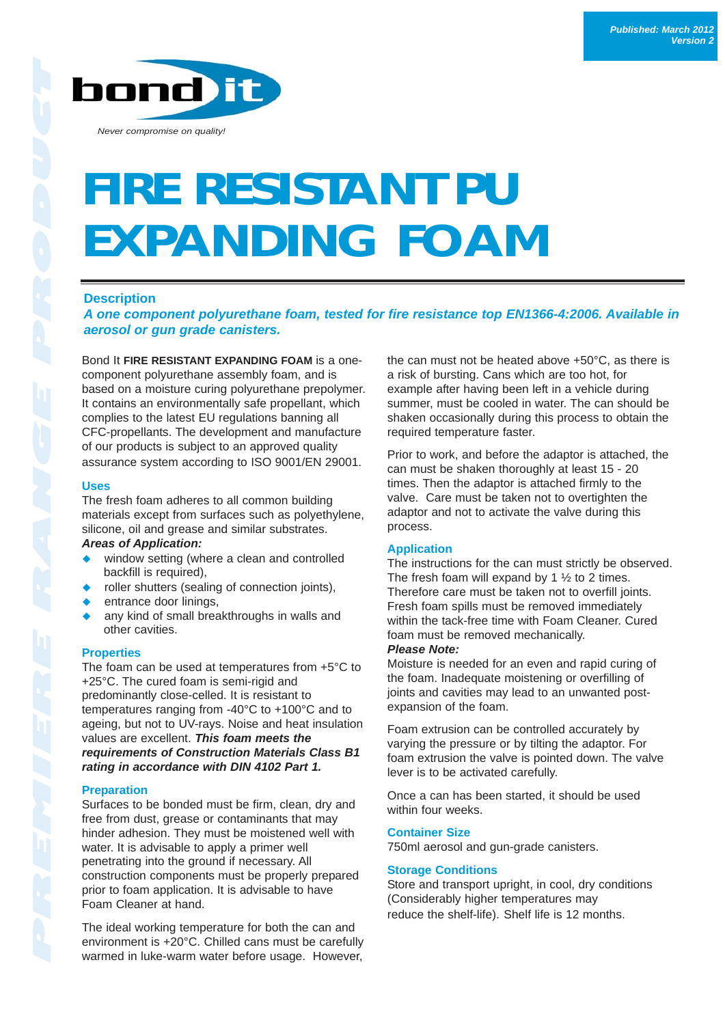# **FIRE RESISTANT PU EXPANDING FOAM**

#### **Description**

*A one component polyurethane foam, tested for fire resistance top EN1366-4:2006. Available in aerosol or gun grade canisters.* 

Bond It **FIRE RESISTANT EXPANDING FOAM** is a onecomponent polyurethane assembly foam, and is based on a moisture curing polyurethane prepolymer. It contains an environmentally safe propellant, which complies to the latest EU regulations banning all CFC-propellants. The development and manufacture of our products is subject to an approved quality assurance system according to ISO 9001/EN 29001.

#### **Uses**

The fresh foam adheres to all common building materials except from surfaces such as polyethylene, silicone, oil and grease and similar substrates.

# *Areas of Application:*

- window setting (where a clean and controlled backfill is required),
- roller shutters (sealing of connection joints),
- entrance door linings,
- ◆ any kind of small breakthroughs in walls and other cavities.

# **Properties**

The foam can be used at temperatures from +5°C to +25°C. The cured foam is semi-rigid and predominantly close-celled. It is resistant to temperatures ranging from -40°C to +100°C and to ageing, but not to UV-rays. Noise and heat insulation values are excellent. *This foam meets the requirements of Construction Materials Class B1 rating in accordance with DIN 4102 Part 1.*

# **Preparation**

Surfaces to be bonded must be firm, clean, dry and free from dust, grease or contaminants that may hinder adhesion. They must be moistened well with water. It is advisable to apply a primer well penetrating into the ground if necessary. All construction components must be properly prepared prior to foam application. It is advisable to have Foam Cleaner at hand.

The ideal working temperature for both the can and environment is +20°C. Chilled cans must be carefully warmed in luke-warm water before usage. However,

the can must not be heated above +50°C, as there is a risk of bursting. Cans which are too hot, for example after having been left in a vehicle during summer, must be cooled in water. The can should be shaken occasionally during this process to obtain the required temperature faster.

Prior to work, and before the adaptor is attached, the can must be shaken thoroughly at least 15 - 20 times. Then the adaptor is attached firmly to the valve. Care must be taken not to overtighten the adaptor and not to activate the valve during this process.

# **Application**

The instructions for the can must strictly be observed. The fresh foam will expand by 1  $\frac{1}{2}$  to 2 times. Therefore care must be taken not to overfill joints. Fresh foam spills must be removed immediately within the tack-free time with Foam Cleaner. Cured foam must be removed mechanically.

#### *Please Note:*

Moisture is needed for an even and rapid curing of the foam. Inadequate moistening or overfilling of joints and cavities may lead to an unwanted postexpansion of the foam.

Foam extrusion can be controlled accurately by varying the pressure or by tilting the adaptor. For foam extrusion the valve is pointed down. The valve lever is to be activated carefully.

Once a can has been started, it should be used within four weeks.

# **Container Size**

750ml aerosol and gun-grade canisters.

# **Storage Conditions**

Store and transport upright, in cool, dry conditions (Considerably higher temperatures may reduce the shelf-life). Shelf life is 12 months.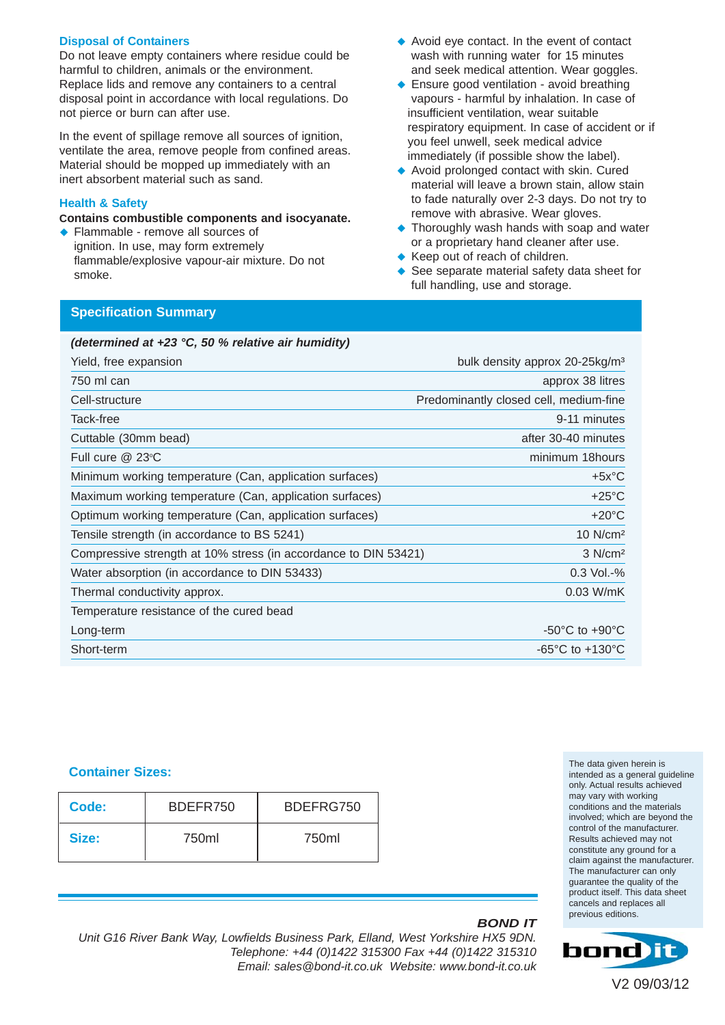#### **Disposal of Containers**

Do not leave empty containers where residue could be harmful to children, animals or the environment. Replace lids and remove any containers to a central disposal point in accordance with local regulations. Do not pierce or burn can after use.

In the event of spillage remove all sources of ignition, ventilate the area, remove people from confined areas. Material should be mopped up immediately with an inert absorbent material such as sand.

#### **Health & Safety**

**Contains combustible components and isocyanate.** 

◆ Flammable - remove all sources of ignition. In use, may form extremely flammable/explosive vapour-air mixture. Do not smoke.

- ◆ Avoid eye contact. In the event of contact wash with running water for 15 minutes and seek medical attention. Wear goggles.
- ◆ Ensure good ventilation avoid breathing vapours - harmful by inhalation. In case of insufficient ventilation, wear suitable respiratory equipment. In case of accident or if you feel unwell, seek medical advice immediately (if possible show the label).
- ◆ Avoid prolonged contact with skin. Cured material will leave a brown stain, allow stain to fade naturally over 2-3 days. Do not try to remove with abrasive. Wear gloves.
- Thoroughly wash hands with soap and water or a proprietary hand cleaner after use.
- ◆ Keep out of reach of children.
- See separate material safety data sheet for full handling, use and storage.

# **Specification Summary**

#### *(determined at +23 °C, 50 % relative air humidity)*

| Yield, free expansion                                           | bulk density approx 20-25kg/m <sup>3</sup> |
|-----------------------------------------------------------------|--------------------------------------------|
| 750 ml can                                                      | approx 38 litres                           |
| Cell-structure                                                  | Predominantly closed cell, medium-fine     |
| Tack-free                                                       | 9-11 minutes                               |
| Cuttable (30mm bead)                                            | after 30-40 minutes                        |
| Full cure @ 23°C                                                | minimum 18hours                            |
| Minimum working temperature (Can, application surfaces)         | $+5x^{\circ}C$                             |
| Maximum working temperature (Can, application surfaces)         | $+25^{\circ}$ C                            |
| Optimum working temperature (Can, application surfaces)         | $+20^{\circ}$ C                            |
| Tensile strength (in accordance to BS 5241)                     | $10$ N/cm <sup>2</sup>                     |
| Compressive strength at 10% stress (in accordance to DIN 53421) | $3$ N/cm <sup>2</sup>                      |
| Water absorption (in accordance to DIN 53433)                   | $0.3$ Vol.-%                               |
| Thermal conductivity approx.                                    | $0.03$ W/mK                                |
| Temperature resistance of the cured bead                        |                                            |
| Long-term                                                       | $-50^{\circ}$ C to $+90^{\circ}$ C         |
| Short-term                                                      | $-65^{\circ}$ C to $+130^{\circ}$ C        |

#### **Container Sizes:**

| Code: | BDEFR750 | BDEFRG750 |  |
|-------|----------|-----------|--|
| Size: | 750ml    | 750ml     |  |

The data given herein is intended as a general guideline only. Actual results achieved may vary with working conditions and the materials involved; which are beyond the control of the manufacturer. Results achieved may not constitute any ground for a claim against the manufacturer. The manufacturer can only guarantee the quality of the product itself. This data sheet cancels and replaces all previous editions.

# *BOND IT*

*Unit G16 River Bank Way, Lowfields Business Park, Elland, West Yorkshire HX5 9DN. Telephone: +44 (0)1422 315300 Fax +44 (0)1422 315310 Email: sales@bond-it.co.uk Website: www.bond-it.co.uk*

V2 09/03/12